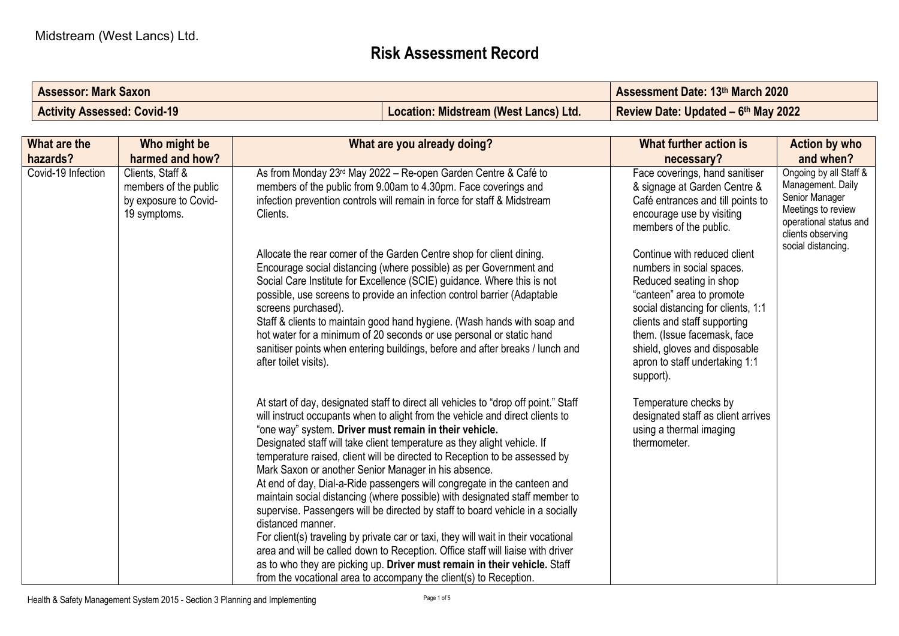## **Risk Assessment Record**

| <b>Assessor: Mark Saxon</b>        | <b>Assessment Date: 13th March 2020</b> |                                     |
|------------------------------------|-----------------------------------------|-------------------------------------|
| <b>Activity Assessed: Covid-19</b> | Location: Midstream (West Lancs) Ltd.   | Review Date: Updated - 6th May 2022 |

| What are the<br>hazards? | Who might be<br>harmed and how?                                                    | What are you already doing?                                                                                                                                                                                                                                                                                                                                                                                                                                                                                                                                                                                                                                                                                                                                                                                                                                                                                                                                                                                                                   | What further action is<br>necessary?                                                                                                                                                                                                                                                                   | <b>Action by who</b><br>and when?                                                                                                  |
|--------------------------|------------------------------------------------------------------------------------|-----------------------------------------------------------------------------------------------------------------------------------------------------------------------------------------------------------------------------------------------------------------------------------------------------------------------------------------------------------------------------------------------------------------------------------------------------------------------------------------------------------------------------------------------------------------------------------------------------------------------------------------------------------------------------------------------------------------------------------------------------------------------------------------------------------------------------------------------------------------------------------------------------------------------------------------------------------------------------------------------------------------------------------------------|--------------------------------------------------------------------------------------------------------------------------------------------------------------------------------------------------------------------------------------------------------------------------------------------------------|------------------------------------------------------------------------------------------------------------------------------------|
| Covid-19 Infection       | Clients, Staff &<br>members of the public<br>by exposure to Covid-<br>19 symptoms. | As from Monday 23rd May 2022 - Re-open Garden Centre & Café to<br>members of the public from 9.00am to 4.30pm. Face coverings and<br>infection prevention controls will remain in force for staff & Midstream<br>Clients.                                                                                                                                                                                                                                                                                                                                                                                                                                                                                                                                                                                                                                                                                                                                                                                                                     | Face coverings, hand sanitiser<br>& signage at Garden Centre &<br>Café entrances and till points to<br>encourage use by visiting<br>members of the public.                                                                                                                                             | Ongoing by all Staff &<br>Management. Daily<br>Senior Manager<br>Meetings to review<br>operational status and<br>clients observing |
|                          |                                                                                    | Allocate the rear corner of the Garden Centre shop for client dining.<br>Encourage social distancing (where possible) as per Government and<br>Social Care Institute for Excellence (SCIE) guidance. Where this is not<br>possible, use screens to provide an infection control barrier (Adaptable<br>screens purchased).<br>Staff & clients to maintain good hand hygiene. (Wash hands with soap and<br>hot water for a minimum of 20 seconds or use personal or static hand<br>sanitiser points when entering buildings, before and after breaks / lunch and<br>after toilet visits).                                                                                                                                                                                                                                                                                                                                                                                                                                                       | Continue with reduced client<br>numbers in social spaces.<br>Reduced seating in shop<br>"canteen" area to promote<br>social distancing for clients, 1:1<br>clients and staff supporting<br>them. (Issue facemask, face<br>shield, gloves and disposable<br>apron to staff undertaking 1:1<br>support). | social distancing.                                                                                                                 |
|                          |                                                                                    | At start of day, designated staff to direct all vehicles to "drop off point." Staff<br>will instruct occupants when to alight from the vehicle and direct clients to<br>"one way" system. Driver must remain in their vehicle.<br>Designated staff will take client temperature as they alight vehicle. If<br>temperature raised, client will be directed to Reception to be assessed by<br>Mark Saxon or another Senior Manager in his absence.<br>At end of day, Dial-a-Ride passengers will congregate in the canteen and<br>maintain social distancing (where possible) with designated staff member to<br>supervise. Passengers will be directed by staff to board vehicle in a socially<br>distanced manner.<br>For client(s) traveling by private car or taxi, they will wait in their vocational<br>area and will be called down to Reception. Office staff will liaise with driver<br>as to who they are picking up. Driver must remain in their vehicle. Staff<br>from the vocational area to accompany the client(s) to Reception. | Temperature checks by<br>designated staff as client arrives<br>using a thermal imaging<br>thermometer.                                                                                                                                                                                                 |                                                                                                                                    |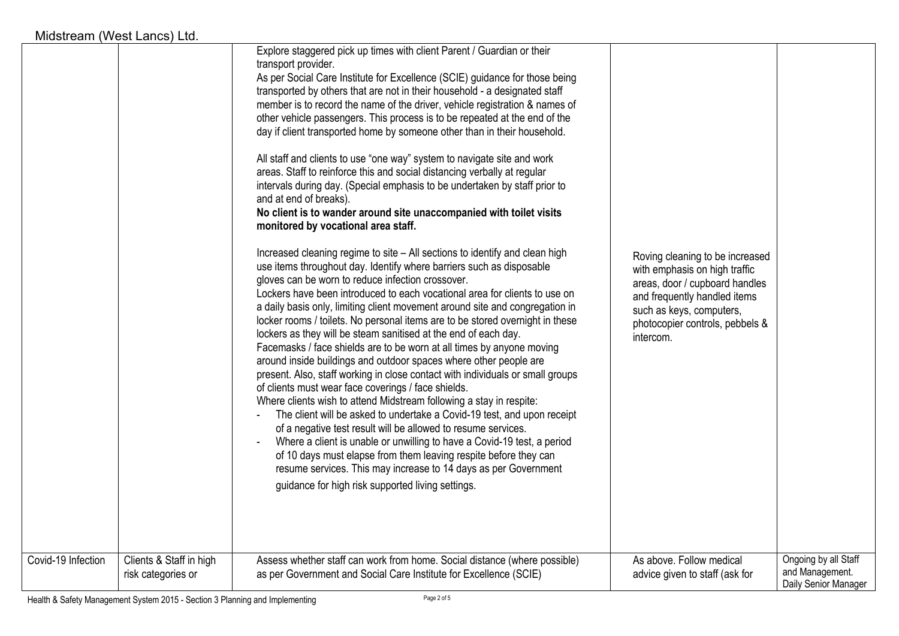| Midstream (West Lancs) Ltd. |                                                                                                                                                                                                                                                                                                                                                                                                                                                                                                                                                                                                                                                                                                                                                                                                                                                                                                                                                                                                                                                                                                                                                                                                                                                                                                                                                                                                                                                                                                                                                                                                                                                                                                                                                                                                                                                                                                                                                                                                                                                                                                                                                                                                                             |                                                                                                                                                                                                                |
|-----------------------------|-----------------------------------------------------------------------------------------------------------------------------------------------------------------------------------------------------------------------------------------------------------------------------------------------------------------------------------------------------------------------------------------------------------------------------------------------------------------------------------------------------------------------------------------------------------------------------------------------------------------------------------------------------------------------------------------------------------------------------------------------------------------------------------------------------------------------------------------------------------------------------------------------------------------------------------------------------------------------------------------------------------------------------------------------------------------------------------------------------------------------------------------------------------------------------------------------------------------------------------------------------------------------------------------------------------------------------------------------------------------------------------------------------------------------------------------------------------------------------------------------------------------------------------------------------------------------------------------------------------------------------------------------------------------------------------------------------------------------------------------------------------------------------------------------------------------------------------------------------------------------------------------------------------------------------------------------------------------------------------------------------------------------------------------------------------------------------------------------------------------------------------------------------------------------------------------------------------------------------|----------------------------------------------------------------------------------------------------------------------------------------------------------------------------------------------------------------|
|                             | Explore staggered pick up times with client Parent / Guardian or their<br>transport provider.<br>As per Social Care Institute for Excellence (SCIE) guidance for those being<br>transported by others that are not in their household - a designated staff<br>member is to record the name of the driver, vehicle registration & names of<br>other vehicle passengers. This process is to be repeated at the end of the<br>day if client transported home by someone other than in their household.<br>All staff and clients to use "one way" system to navigate site and work<br>areas. Staff to reinforce this and social distancing verbally at regular<br>intervals during day. (Special emphasis to be undertaken by staff prior to<br>and at end of breaks).<br>No client is to wander around site unaccompanied with toilet visits<br>monitored by vocational area staff.<br>Increased cleaning regime to site - All sections to identify and clean high<br>use items throughout day. Identify where barriers such as disposable<br>gloves can be worn to reduce infection crossover.<br>Lockers have been introduced to each vocational area for clients to use on<br>a daily basis only, limiting client movement around site and congregation in<br>locker rooms / toilets. No personal items are to be stored overnight in these<br>lockers as they will be steam sanitised at the end of each day.<br>Facemasks / face shields are to be worn at all times by anyone moving<br>around inside buildings and outdoor spaces where other people are<br>present. Also, staff working in close contact with individuals or small groups<br>of clients must wear face coverings / face shields.<br>Where clients wish to attend Midstream following a stay in respite:<br>The client will be asked to undertake a Covid-19 test, and upon receipt<br>of a negative test result will be allowed to resume services.<br>Where a client is unable or unwilling to have a Covid-19 test, a period<br>$\overline{\phantom{a}}$<br>of 10 days must elapse from them leaving respite before they can<br>resume services. This may increase to 14 days as per Government<br>guidance for high risk supported living settings. | Roving cleaning to be increased<br>with emphasis on high traffic<br>areas, door / cupboard handles<br>and frequently handled items<br>such as keys, computers,<br>photocopier controls, pebbels &<br>intercom. |
|                             |                                                                                                                                                                                                                                                                                                                                                                                                                                                                                                                                                                                                                                                                                                                                                                                                                                                                                                                                                                                                                                                                                                                                                                                                                                                                                                                                                                                                                                                                                                                                                                                                                                                                                                                                                                                                                                                                                                                                                                                                                                                                                                                                                                                                                             |                                                                                                                                                                                                                |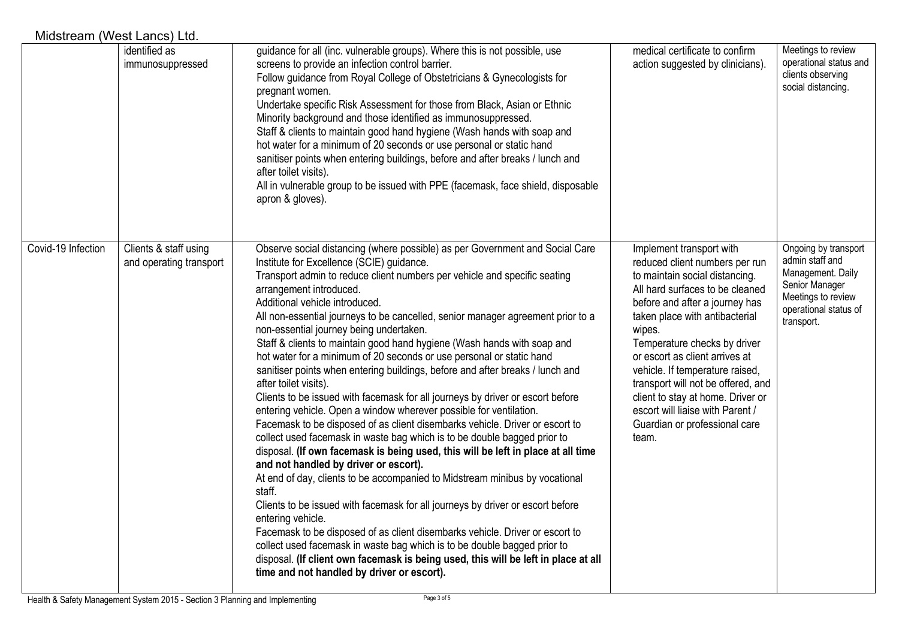| Midstream (West Lancs) Ltd. |                                                  |                                                                                                                                                                                                                                                                                                                                                                                                                                                                                                                                                                                                                                                                                                                                                                                                                                                                                                                                                                                                                                                                                                                                                                                                                                                                                                                                                                                                                                                                                                                                                                                                                 |                                                                                                                                                                                                                                                                                                                                                                                                                                                                             |                                                                                                                                             |
|-----------------------------|--------------------------------------------------|-----------------------------------------------------------------------------------------------------------------------------------------------------------------------------------------------------------------------------------------------------------------------------------------------------------------------------------------------------------------------------------------------------------------------------------------------------------------------------------------------------------------------------------------------------------------------------------------------------------------------------------------------------------------------------------------------------------------------------------------------------------------------------------------------------------------------------------------------------------------------------------------------------------------------------------------------------------------------------------------------------------------------------------------------------------------------------------------------------------------------------------------------------------------------------------------------------------------------------------------------------------------------------------------------------------------------------------------------------------------------------------------------------------------------------------------------------------------------------------------------------------------------------------------------------------------------------------------------------------------|-----------------------------------------------------------------------------------------------------------------------------------------------------------------------------------------------------------------------------------------------------------------------------------------------------------------------------------------------------------------------------------------------------------------------------------------------------------------------------|---------------------------------------------------------------------------------------------------------------------------------------------|
|                             | identified as<br>immunosuppressed                | guidance for all (inc. vulnerable groups). Where this is not possible, use<br>screens to provide an infection control barrier.<br>Follow guidance from Royal College of Obstetricians & Gynecologists for<br>pregnant women.<br>Undertake specific Risk Assessment for those from Black, Asian or Ethnic<br>Minority background and those identified as immunosuppressed.<br>Staff & clients to maintain good hand hygiene (Wash hands with soap and<br>hot water for a minimum of 20 seconds or use personal or static hand<br>sanitiser points when entering buildings, before and after breaks / lunch and<br>after toilet visits).<br>All in vulnerable group to be issued with PPE (facemask, face shield, disposable<br>apron & gloves).                                                                                                                                                                                                                                                                                                                                                                                                                                                                                                                                                                                                                                                                                                                                                                                                                                                                  | medical certificate to confirm<br>action suggested by clinicians).                                                                                                                                                                                                                                                                                                                                                                                                          | Meetings to review<br>operational status and<br>clients observing<br>social distancing.                                                     |
| Covid-19 Infection          | Clients & staff using<br>and operating transport | Observe social distancing (where possible) as per Government and Social Care<br>Institute for Excellence (SCIE) guidance.<br>Transport admin to reduce client numbers per vehicle and specific seating<br>arrangement introduced.<br>Additional vehicle introduced.<br>All non-essential journeys to be cancelled, senior manager agreement prior to a<br>non-essential journey being undertaken.<br>Staff & clients to maintain good hand hygiene (Wash hands with soap and<br>hot water for a minimum of 20 seconds or use personal or static hand<br>sanitiser points when entering buildings, before and after breaks / lunch and<br>after toilet visits).<br>Clients to be issued with facemask for all journeys by driver or escort before<br>entering vehicle. Open a window wherever possible for ventilation.<br>Facemask to be disposed of as client disembarks vehicle. Driver or escort to<br>collect used facemask in waste bag which is to be double bagged prior to<br>disposal. (If own facemask is being used, this will be left in place at all time<br>and not handled by driver or escort).<br>At end of day, clients to be accompanied to Midstream minibus by vocational<br>staff.<br>Clients to be issued with facemask for all journeys by driver or escort before<br>entering vehicle.<br>Facemask to be disposed of as client disembarks vehicle. Driver or escort to<br>collect used facemask in waste bag which is to be double bagged prior to<br>disposal. (If client own facemask is being used, this will be left in place at all<br>time and not handled by driver or escort). | Implement transport with<br>reduced client numbers per run<br>to maintain social distancing.<br>All hard surfaces to be cleaned<br>before and after a journey has<br>taken place with antibacterial<br>wipes.<br>Temperature checks by driver<br>or escort as client arrives at<br>vehicle. If temperature raised,<br>transport will not be offered, and<br>client to stay at home. Driver or<br>escort will liaise with Parent /<br>Guardian or professional care<br>team. | Ongoing by transport<br>admin staff and<br>Management. Daily<br>Senior Manager<br>Meetings to review<br>operational status of<br>transport. |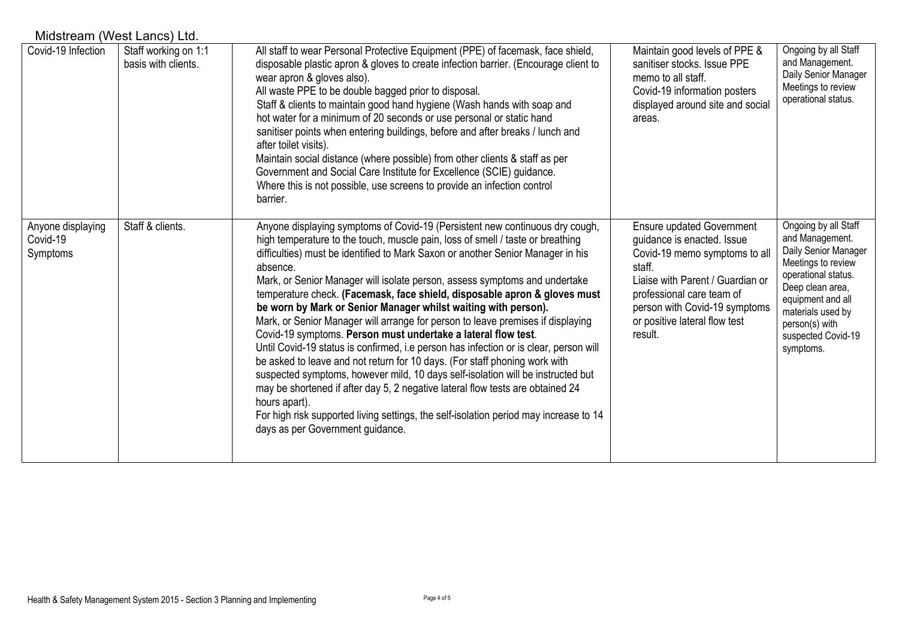| Midstream (West Lancs) Ltd.               |                                             |                                                                                                                                                                                                                                                                                                                                                                                                                                                                                                                                                                                                                                                                                                                                                                                                                                                                                                                                                                                                                                                                                                                                          |                                                                                                                                                                                                                                                         |                                                                                                                                                                                                                                 |
|-------------------------------------------|---------------------------------------------|------------------------------------------------------------------------------------------------------------------------------------------------------------------------------------------------------------------------------------------------------------------------------------------------------------------------------------------------------------------------------------------------------------------------------------------------------------------------------------------------------------------------------------------------------------------------------------------------------------------------------------------------------------------------------------------------------------------------------------------------------------------------------------------------------------------------------------------------------------------------------------------------------------------------------------------------------------------------------------------------------------------------------------------------------------------------------------------------------------------------------------------|---------------------------------------------------------------------------------------------------------------------------------------------------------------------------------------------------------------------------------------------------------|---------------------------------------------------------------------------------------------------------------------------------------------------------------------------------------------------------------------------------|
| Covid-19 Infection                        | Staff working on 1:1<br>basis with clients. | All staff to wear Personal Protective Equipment (PPE) of facemask, face shield,<br>disposable plastic apron & gloves to create infection barrier. (Encourage client to<br>wear apron & gloves also).<br>All waste PPE to be double bagged prior to disposal.<br>Staff & clients to maintain good hand hygiene (Wash hands with soap and<br>hot water for a minimum of 20 seconds or use personal or static hand<br>sanitiser points when entering buildings, before and after breaks / lunch and<br>after toilet visits).<br>Maintain social distance (where possible) from other clients & staff as per<br>Government and Social Care Institute for Excellence (SCIE) guidance.<br>Where this is not possible, use screens to provide an infection control<br>barrier.                                                                                                                                                                                                                                                                                                                                                                  | Maintain good levels of PPE &<br>sanitiser stocks. Issue PPE<br>memo to all staff.<br>Covid-19 information posters<br>displayed around site and social<br>areas.                                                                                        | Ongoing by all Staff<br>and Management.<br>Daily Senior Manager<br>Meetings to review<br>operational status.                                                                                                                    |
| Anyone displaying<br>Covid-19<br>Symptoms | Staff & clients.                            | Anyone displaying symptoms of Covid-19 (Persistent new continuous dry cough,<br>high temperature to the touch, muscle pain, loss of smell / taste or breathing<br>difficulties) must be identified to Mark Saxon or another Senior Manager in his<br>absence.<br>Mark, or Senior Manager will isolate person, assess symptoms and undertake<br>temperature check. (Facemask, face shield, disposable apron & gloves must<br>be worn by Mark or Senior Manager whilst waiting with person).<br>Mark, or Senior Manager will arrange for person to leave premises if displaying<br>Covid-19 symptoms. Person must undertake a lateral flow test.<br>Until Covid-19 status is confirmed, i.e person has infection or is clear, person will<br>be asked to leave and not return for 10 days. (For staff phoning work with<br>suspected symptoms, however mild, 10 days self-isolation will be instructed but<br>may be shortened if after day 5, 2 negative lateral flow tests are obtained 24<br>hours apart).<br>For high risk supported living settings, the self-isolation period may increase to 14<br>days as per Government guidance. | <b>Ensure updated Government</b><br>guidance is enacted. Issue<br>Covid-19 memo symptoms to all<br>staff.<br>Liaise with Parent / Guardian or<br>professional care team of<br>person with Covid-19 symptoms<br>or positive lateral flow test<br>result. | Ongoing by all Staff<br>and Management.<br>Daily Senior Manager<br>Meetings to review<br>operational status.<br>Deep clean area,<br>equipment and all<br>materials used by<br>person(s) with<br>suspected Covid-19<br>symptoms. |